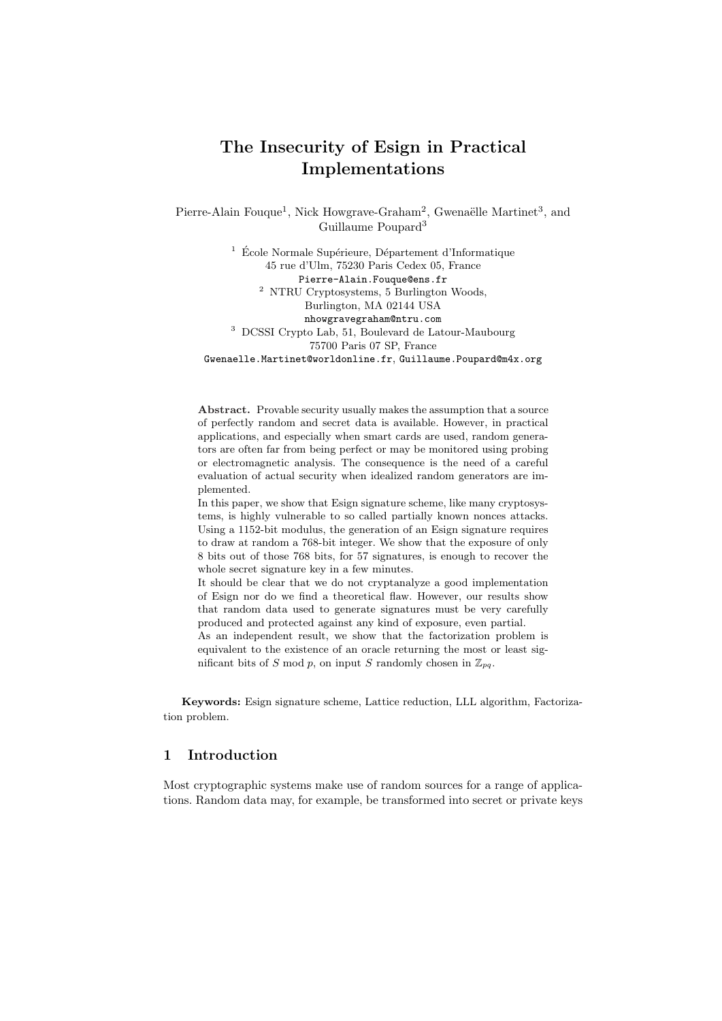# The Insecurity of Esign in Practical Implementations

Pierre-Alain Fouque<sup>1</sup>, Nick Howgrave-Graham<sup>2</sup>, Gwenaëlle Martinet<sup>3</sup>, and Guillaume Poupard<sup>3</sup>

 $^1$ École Normale Supérieure, Département d'Informatique 45 rue d'Ulm, 75230 Paris Cedex 05, France Pierre-Alain.Fouque@ens.fr <sup>2</sup> NTRU Cryptosystems, 5 Burlington Woods, Burlington, MA 02144 USA nhowgravegraham@ntru.com <sup>3</sup> DCSSI Crypto Lab, 51, Boulevard de Latour-Maubourg 75700 Paris 07 SP, France Gwenaelle.Martinet@worldonline.fr, Guillaume.Poupard@m4x.org

Abstract. Provable security usually makes the assumption that a source of perfectly random and secret data is available. However, in practical applications, and especially when smart cards are used, random generators are often far from being perfect or may be monitored using probing or electromagnetic analysis. The consequence is the need of a careful evaluation of actual security when idealized random generators are implemented.

In this paper, we show that Esign signature scheme, like many cryptosystems, is highly vulnerable to so called partially known nonces attacks. Using a 1152-bit modulus, the generation of an Esign signature requires to draw at random a 768-bit integer. We show that the exposure of only 8 bits out of those 768 bits, for 57 signatures, is enough to recover the whole secret signature key in a few minutes.

It should be clear that we do not cryptanalyze a good implementation of Esign nor do we find a theoretical flaw. However, our results show that random data used to generate signatures must be very carefully produced and protected against any kind of exposure, even partial.

As an independent result, we show that the factorization problem is equivalent to the existence of an oracle returning the most or least significant bits of S mod p, on input S randomly chosen in  $\mathbb{Z}_{pq}$ .

Keywords: Esign signature scheme, Lattice reduction, LLL algorithm, Factorization problem.

# 1 Introduction

Most cryptographic systems make use of random sources for a range of applications. Random data may, for example, be transformed into secret or private keys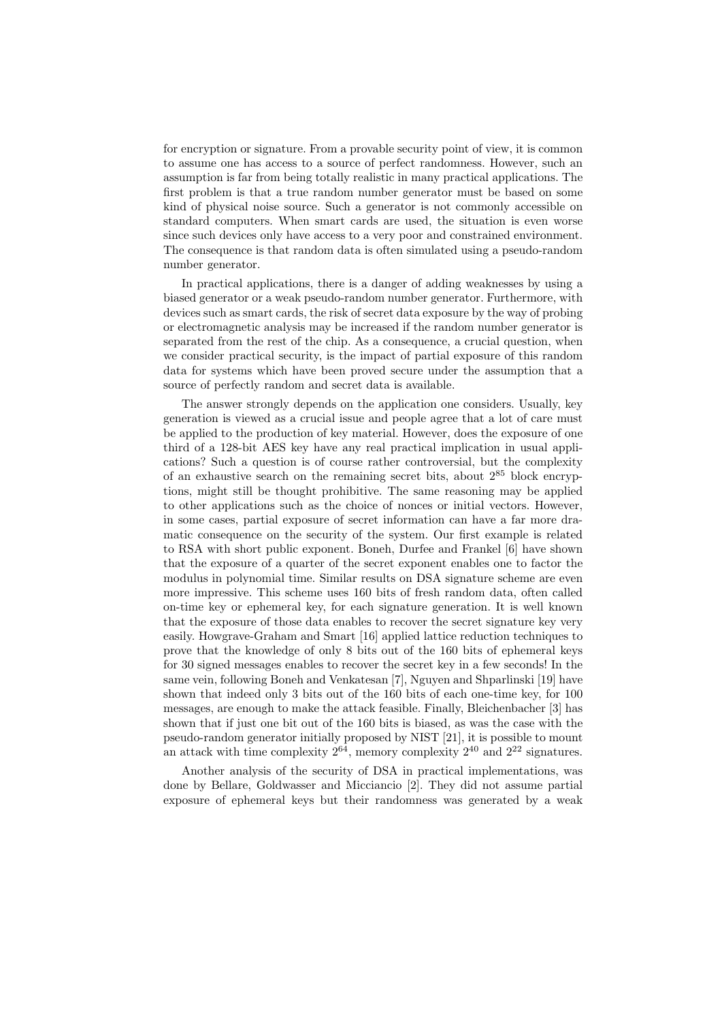for encryption or signature. From a provable security point of view, it is common to assume one has access to a source of perfect randomness. However, such an assumption is far from being totally realistic in many practical applications. The first problem is that a true random number generator must be based on some kind of physical noise source. Such a generator is not commonly accessible on standard computers. When smart cards are used, the situation is even worse since such devices only have access to a very poor and constrained environment. The consequence is that random data is often simulated using a pseudo-random number generator.

In practical applications, there is a danger of adding weaknesses by using a biased generator or a weak pseudo-random number generator. Furthermore, with devices such as smart cards, the risk of secret data exposure by the way of probing or electromagnetic analysis may be increased if the random number generator is separated from the rest of the chip. As a consequence, a crucial question, when we consider practical security, is the impact of partial exposure of this random data for systems which have been proved secure under the assumption that a source of perfectly random and secret data is available.

The answer strongly depends on the application one considers. Usually, key generation is viewed as a crucial issue and people agree that a lot of care must be applied to the production of key material. However, does the exposure of one third of a 128-bit AES key have any real practical implication in usual applications? Such a question is of course rather controversial, but the complexity of an exhaustive search on the remaining secret bits, about  $2^{85}$  block encryptions, might still be thought prohibitive. The same reasoning may be applied to other applications such as the choice of nonces or initial vectors. However, in some cases, partial exposure of secret information can have a far more dramatic consequence on the security of the system. Our first example is related to RSA with short public exponent. Boneh, Durfee and Frankel [6] have shown that the exposure of a quarter of the secret exponent enables one to factor the modulus in polynomial time. Similar results on DSA signature scheme are even more impressive. This scheme uses 160 bits of fresh random data, often called on-time key or ephemeral key, for each signature generation. It is well known that the exposure of those data enables to recover the secret signature key very easily. Howgrave-Graham and Smart [16] applied lattice reduction techniques to prove that the knowledge of only 8 bits out of the 160 bits of ephemeral keys for 30 signed messages enables to recover the secret key in a few seconds! In the same vein, following Boneh and Venkatesan [7], Nguyen and Shparlinski [19] have shown that indeed only 3 bits out of the 160 bits of each one-time key, for 100 messages, are enough to make the attack feasible. Finally, Bleichenbacher [3] has shown that if just one bit out of the 160 bits is biased, as was the case with the pseudo-random generator initially proposed by NIST [21], it is possible to mount an attack with time complexity  $2^{64}$ , memory complexity  $2^{40}$  and  $2^{22}$  signatures.

Another analysis of the security of DSA in practical implementations, was done by Bellare, Goldwasser and Micciancio [2]. They did not assume partial exposure of ephemeral keys but their randomness was generated by a weak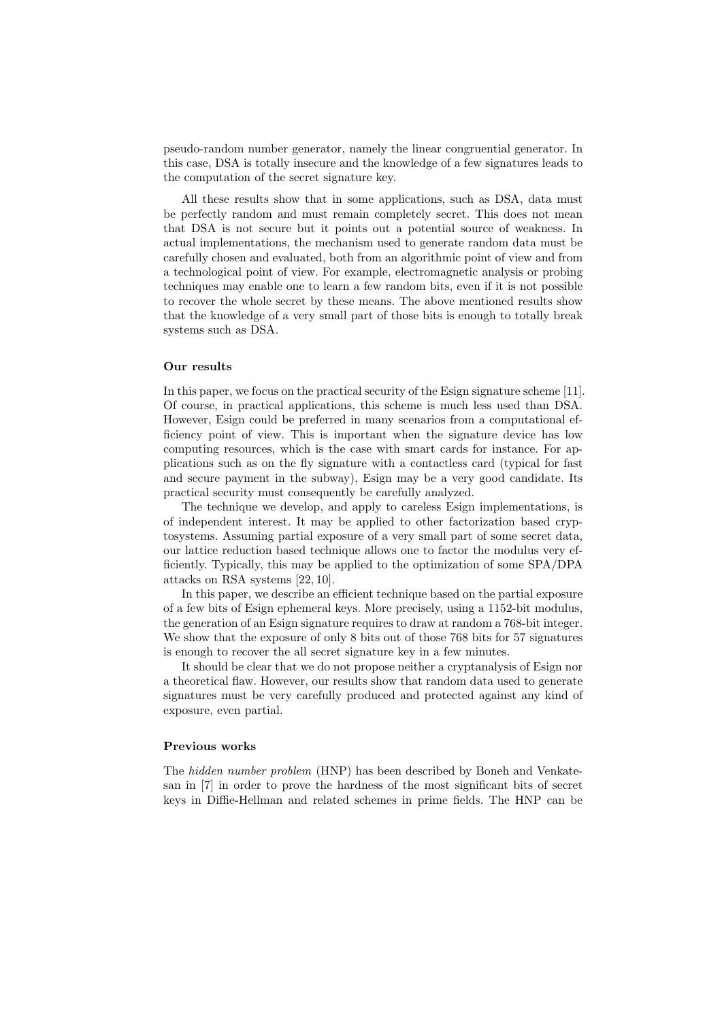pseudo-random number generator, namely the linear congruential generator. In this case, DSA is totally insecure and the knowledge of a few signatures leads to the computation of the secret signature key.

All these results show that in some applications, such as DSA, data must be perfectly random and must remain completely secret. This does not mean that DSA is not secure but it points out a potential source of weakness. In actual implementations, the mechanism used to generate random data must be carefully chosen and evaluated, both from an algorithmic point of view and from a technological point of view. For example, electromagnetic analysis or probing techniques may enable one to learn a few random bits, even if it is not possible to recover the whole secret by these means. The above mentioned results show that the knowledge of a very small part of those bits is enough to totally break systems such as DSA.

#### Our results

In this paper, we focus on the practical security of the Esign signature scheme [11]. Of course, in practical applications, this scheme is much less used than DSA. However, Esign could be preferred in many scenarios from a computational efficiency point of view. This is important when the signature device has low computing resources, which is the case with smart cards for instance. For applications such as on the fly signature with a contactless card (typical for fast and secure payment in the subway), Esign may be a very good candidate. Its practical security must consequently be carefully analyzed.

The technique we develop, and apply to careless Esign implementations, is of independent interest. It may be applied to other factorization based cryptosystems. Assuming partial exposure of a very small part of some secret data, our lattice reduction based technique allows one to factor the modulus very efficiently. Typically, this may be applied to the optimization of some SPA/DPA attacks on RSA systems [22, 10].

In this paper, we describe an efficient technique based on the partial exposure of a few bits of Esign ephemeral keys. More precisely, using a 1152-bit modulus, the generation of an Esign signature requires to draw at random a 768-bit integer. We show that the exposure of only 8 bits out of those 768 bits for 57 signatures is enough to recover the all secret signature key in a few minutes.

It should be clear that we do not propose neither a cryptanalysis of Esign nor a theoretical flaw. However, our results show that random data used to generate signatures must be very carefully produced and protected against any kind of exposure, even partial.

#### Previous works

The hidden number problem (HNP) has been described by Boneh and Venkatesan in [7] in order to prove the hardness of the most significant bits of secret keys in Diffie-Hellman and related schemes in prime fields. The HNP can be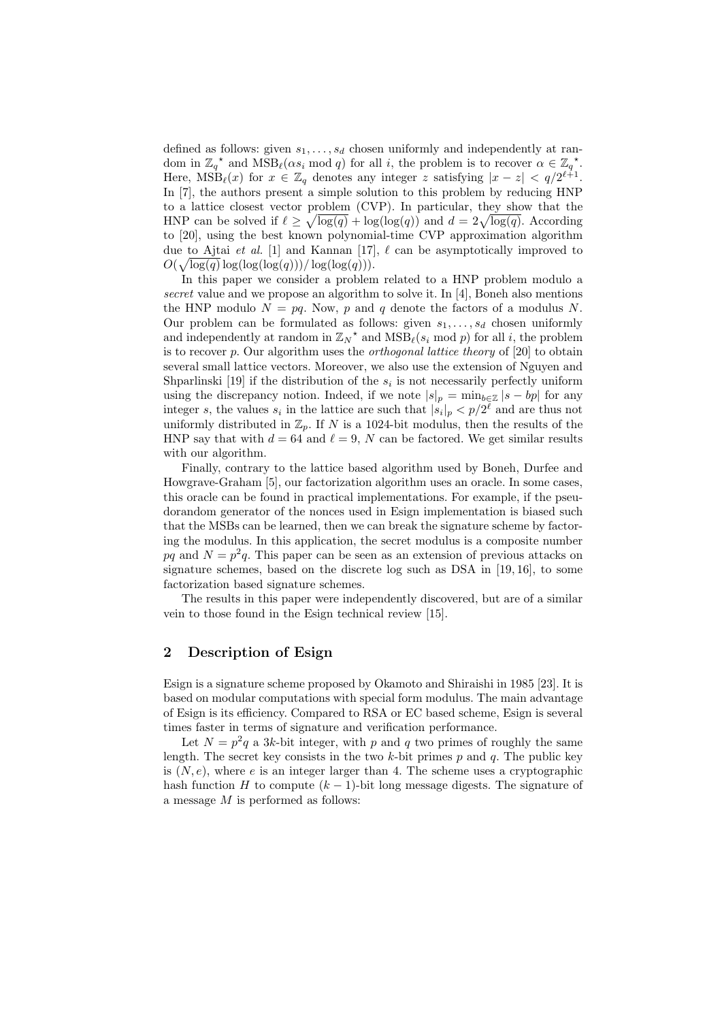defined as follows: given  $s_1, \ldots, s_d$  chosen uniformly and independently at random in  $\mathbb{Z}_q^*$  and  $\text{MSB}_{\ell}(\alpha s_i \mod q)$  for all i, the problem is to recover  $\alpha \in \mathbb{Z}_q^*$ . Here,  $\text{MSB}_{\ell}(x)$  for  $x \in \mathbb{Z}_q$  denotes any integer z satisfying  $|x - z| < q/2^{\ell+1}$ . In [7], the authors present a simple solution to this problem by reducing HNP to a lattice closest vector problem (CVP). In particular, they show that the to a lattice closest vector problem  $(VVP)$ . In particular, they show that the HNP can be solved if  $\ell \geq \sqrt{\log(q)} + \log(\log(q))$  and  $d = 2\sqrt{\log(q)}$ . According to [20], using the best known polynomial-time CVP approximation algorithm due to Ajtai et al. [1] and Kannan [17],  $\ell$  can be asymptotically improved to  $O(\sqrt{\log(q) \log(\log(\log(q))})/\log(\log(q))).$ 

In this paper we consider a problem related to a HNP problem modulo a secret value and we propose an algorithm to solve it. In [4], Boneh also mentions the HNP modulo  $N = pq$ . Now, p and q denote the factors of a modulus N. Our problem can be formulated as follows: given  $s_1, \ldots, s_d$  chosen uniformly and independently at random in  $\mathbb{Z}_N^*$  and  $\text{MSB}_{\ell}(s_i \mod p)$  for all i, the problem is to recover p. Our algorithm uses the *orthogonal lattice theory* of  $[20]$  to obtain several small lattice vectors. Moreover, we also use the extension of Nguyen and Shparlinski [19] if the distribution of the  $s_i$  is not necessarily perfectly uniform using the discrepancy notion. Indeed, if we note  $|s|_p = \min_{b \in \mathbb{Z}} |s - bp|$  for any integer s, the values  $s_i$  in the lattice are such that  $|s_i|_p < p/2^{\ell}$  and are thus not uniformly distributed in  $\mathbb{Z}_n$ . If N is a 1024-bit modulus, then the results of the HNP say that with  $d = 64$  and  $\ell = 9$ , N can be factored. We get similar results with our algorithm.

Finally, contrary to the lattice based algorithm used by Boneh, Durfee and Howgrave-Graham [5], our factorization algorithm uses an oracle. In some cases, this oracle can be found in practical implementations. For example, if the pseudorandom generator of the nonces used in Esign implementation is biased such that the MSBs can be learned, then we can break the signature scheme by factoring the modulus. In this application, the secret modulus is a composite number  $pq$  and  $N = p^2q$ . This paper can be seen as an extension of previous attacks on signature schemes, based on the discrete log such as DSA in [19, 16], to some factorization based signature schemes.

The results in this paper were independently discovered, but are of a similar vein to those found in the Esign technical review [15].

## 2 Description of Esign

Esign is a signature scheme proposed by Okamoto and Shiraishi in 1985 [23]. It is based on modular computations with special form modulus. The main advantage of Esign is its efficiency. Compared to RSA or EC based scheme, Esign is several times faster in terms of signature and verification performance.

Let  $N = p^2q$  a 3k-bit integer, with p and q two primes of roughly the same length. The secret key consists in the two  $k$ -bit primes  $p$  and  $q$ . The public key is  $(N, e)$ , where e is an integer larger than 4. The scheme uses a cryptographic hash function H to compute  $(k-1)$ -bit long message digests. The signature of a message  $M$  is performed as follows: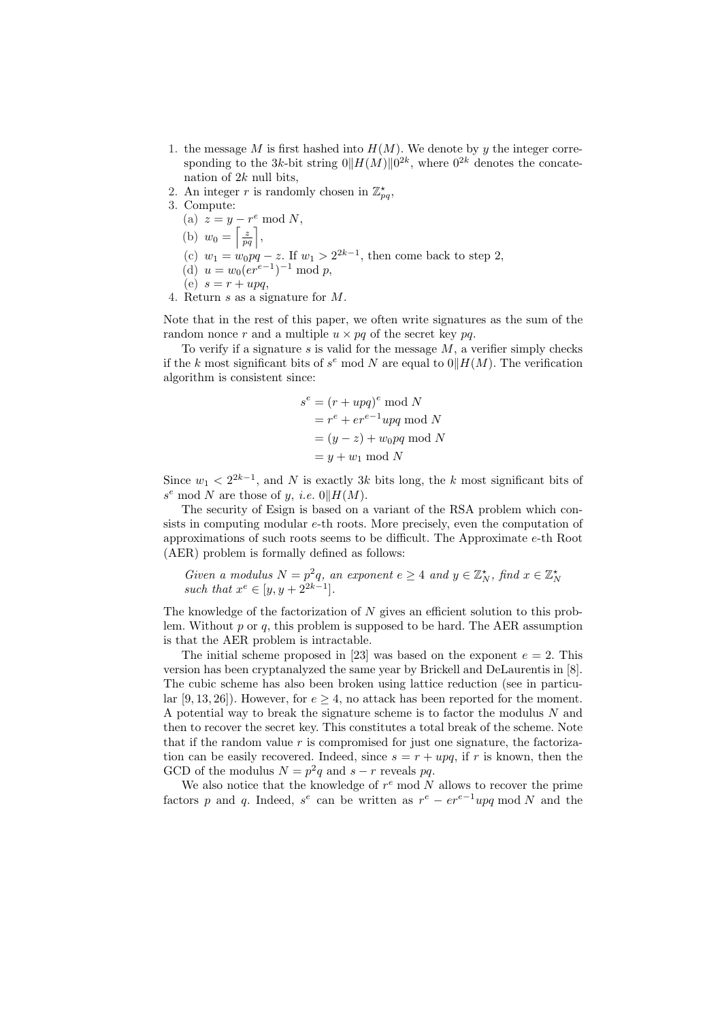- 1. the message  $M$  is first hashed into  $H(M)$ . We denote by  $y$  the integer corresponding to the 3k-bit string  $0||H(M)||0^{2k}$ , where  $0^{2k}$  denotes the concatenation of  $2k$  null bits,
- 2. An integer r is randomly chosen in  $\mathbb{Z}_{pq}^{\star}$ ,
- 3. Compute:
	- (a)  $z = y r^e \mod N$ ,
	- (b)  $w_0 =$  $\begin{bmatrix} -r^c \\ \frac{z}{pq} \end{bmatrix}$
	- (c)  $w_1 = w_0pq z$ . If  $w_1 > 2^{2k-1}$ , then come back to step 2,
	- (d)  $u = w_0(e^{e-1})^{-1} \bmod p$ ,
	- (e)  $s = r + upq$ ,
- 4. Return s as a signature for M.

Note that in the rest of this paper, we often write signatures as the sum of the random nonce r and a multiple  $u \times pq$  of the secret key pq.

To verify if a signature s is valid for the message  $M$ , a verifier simply checks if the k most significant bits of  $s^e$  mod N are equal to  $0||H(M)$ . The verification algorithm is consistent since:

$$
se = (r + upq)e \mod N
$$
  
=  $re + ere-1 upq \mod N$   
=  $(y - z) + w_0pq \mod N$   
=  $y + w_1 \mod N$ 

Since  $w_1 < 2^{2k-1}$ , and N is exactly 3k bits long, the k most significant bits of  $s^e \mod N$  are those of y, i.e.  $0||H(M)$ .

The security of Esign is based on a variant of the RSA problem which consists in computing modular e-th roots. More precisely, even the computation of approximations of such roots seems to be difficult. The Approximate e-th Root (AER) problem is formally defined as follows:

Given a modulus  $N = p^2q$ , an exponent  $e \geq 4$  and  $y \in \mathbb{Z}_N^*$ , find  $x \in \mathbb{Z}_N^*$ such that  $x^e \in [y, y + 2^{2k-1}].$ 

The knowledge of the factorization of  $N$  gives an efficient solution to this problem. Without  $p$  or  $q$ , this problem is supposed to be hard. The AER assumption is that the AER problem is intractable.

The initial scheme proposed in [23] was based on the exponent  $e = 2$ . This version has been cryptanalyzed the same year by Brickell and DeLaurentis in [8]. The cubic scheme has also been broken using lattice reduction (see in particular [9, 13, 26]). However, for  $e \geq 4$ , no attack has been reported for the moment. A potential way to break the signature scheme is to factor the modulus N and then to recover the secret key. This constitutes a total break of the scheme. Note that if the random value  $r$  is compromised for just one signature, the factorization can be easily recovered. Indeed, since  $s = r + upq$ , if r is known, then the GCD of the modulus  $N = p^2q$  and  $s - r$  reveals pq.

We also notice that the knowledge of  $r^e$  mod N allows to recover the prime factors p and q. Indeed,  $s^e$  can be written as  $r^e - er^{e-1}upq \mod N$  and the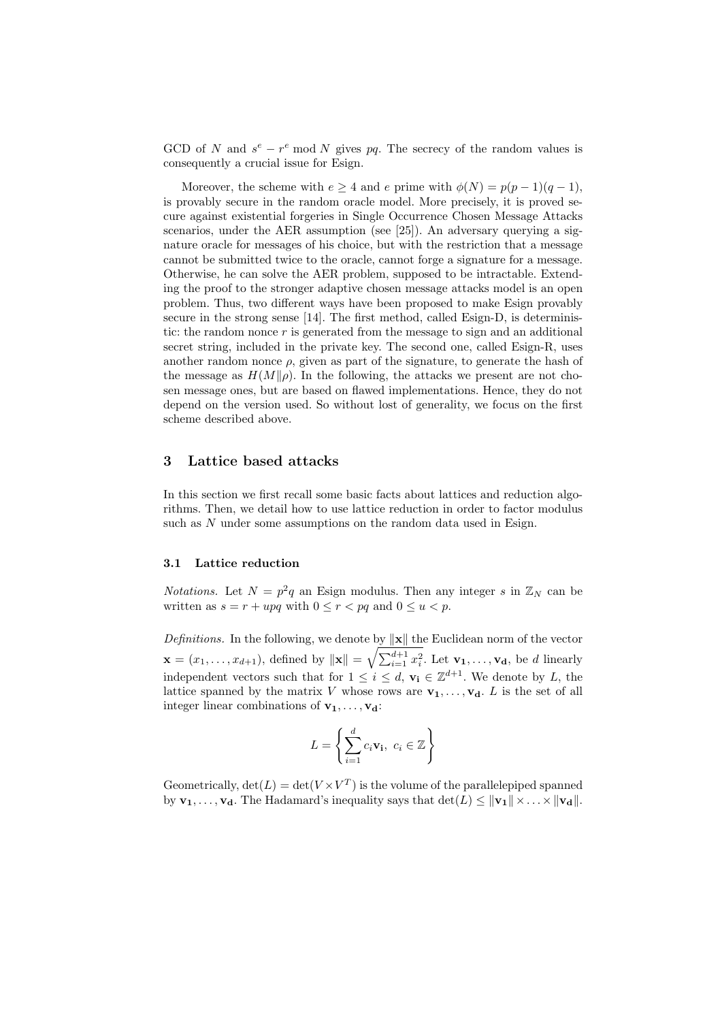GCD of N and  $s^e - r^e$  mod N gives pq. The secrecy of the random values is consequently a crucial issue for Esign.

Moreover, the scheme with  $e \geq 4$  and e prime with  $\phi(N) = p(p-1)(q-1)$ , is provably secure in the random oracle model. More precisely, it is proved secure against existential forgeries in Single Occurrence Chosen Message Attacks scenarios, under the AER assumption (see [25]). An adversary querying a signature oracle for messages of his choice, but with the restriction that a message cannot be submitted twice to the oracle, cannot forge a signature for a message. Otherwise, he can solve the AER problem, supposed to be intractable. Extending the proof to the stronger adaptive chosen message attacks model is an open problem. Thus, two different ways have been proposed to make Esign provably secure in the strong sense [14]. The first method, called Esign-D, is deterministic: the random nonce  $r$  is generated from the message to sign and an additional secret string, included in the private key. The second one, called Esign-R, uses another random nonce  $\rho$ , given as part of the signature, to generate the hash of the message as  $H(M||\rho)$ . In the following, the attacks we present are not chosen message ones, but are based on flawed implementations. Hence, they do not depend on the version used. So without lost of generality, we focus on the first scheme described above.

## 3 Lattice based attacks

In this section we first recall some basic facts about lattices and reduction algorithms. Then, we detail how to use lattice reduction in order to factor modulus such as N under some assumptions on the random data used in Esign.

#### 3.1 Lattice reduction

*Notations.* Let  $N = p^2q$  an Esign modulus. Then any integer s in  $\mathbb{Z}_N$  can be written as  $s = r + upq$  with  $0 \le r < pq$  and  $0 \le u < p$ .

Definitions. In the following, we denote by  $\|\mathbf{x}\|$  the Euclidean norm of the vector *Definitions.* In the following, we denote by  $\|\mathbf{x}\|$  the Euclidean norm of the vector  $\mathbf{x} = (x_1, \dots, x_{d+1})$ , defined by  $\|\mathbf{x}\| = \sqrt{\sum_{i=1}^{d+1} x_i^2}$ . Let  $\mathbf{v_1}, \dots, \mathbf{v_d}$ , be *d* linearly independent vectors such that for  $1 \leq i \leq d$ ,  $\mathbf{v_i} \in \mathbb{Z}^{d+1}$ . We denote by L, the lattice spanned by the matrix V whose rows are  $v_1, \ldots, v_d$ . L is the set of all integer linear combinations of  $v_1, \ldots, v_d$ :

$$
L = \left\{ \sum_{i=1}^{d} c_i \mathbf{v_i}, \ c_i \in \mathbb{Z} \right\}
$$

Geometrically,  $\det(L) = \det(V \times V^T)$  is the volume of the parallelepiped spanned by  $\mathbf{v_1}, \ldots, \mathbf{v_d}$ . The Hadamard's inequality says that  $\det(L) \leq ||\mathbf{v_1}|| \times \ldots \times ||\mathbf{v_d}||$ .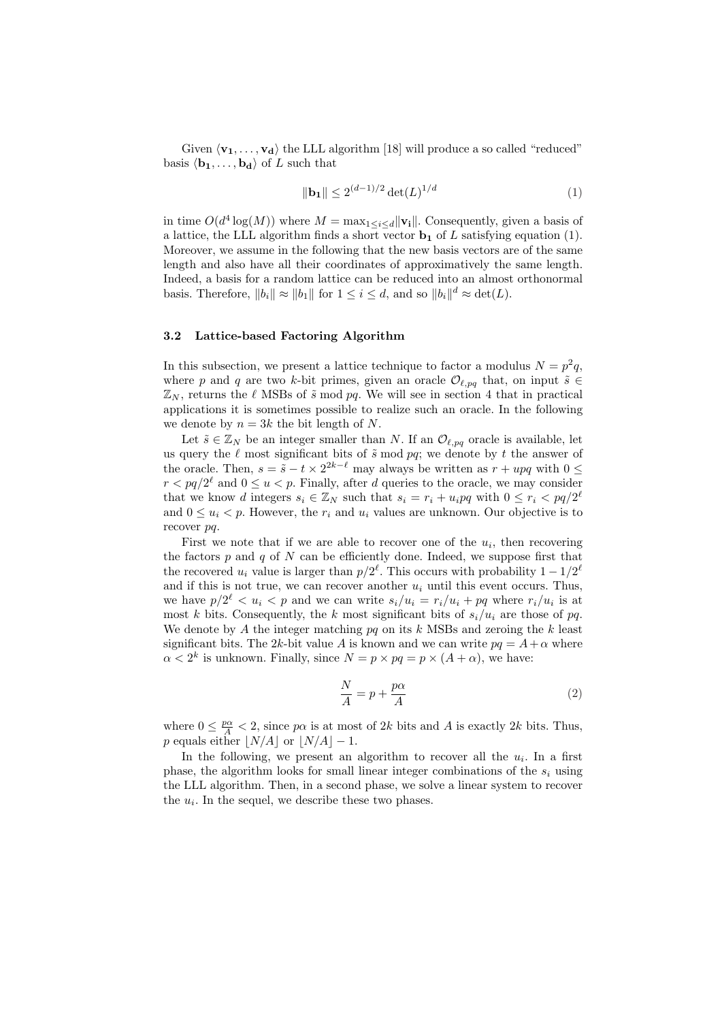Given  $\langle v_1, \ldots, v_d \rangle$  the LLL algorithm [18] will produce a so called "reduced" basis  $\langle \mathbf{b}_1, \ldots, \mathbf{b}_d \rangle$  of L such that

$$
\|\mathbf{b}_1\| \le 2^{(d-1)/2} \det(L)^{1/d} \tag{1}
$$

in time  $O(d^4 \log(M))$  where  $M = \max_{1 \leq i \leq d} ||\mathbf{v}_i||$ . Consequently, given a basis of a lattice, the LLL algorithm finds a short vector  $\mathbf{b}_1$  of L satisfying equation (1). Moreover, we assume in the following that the new basis vectors are of the same length and also have all their coordinates of approximatively the same length. Indeed, a basis for a random lattice can be reduced into an almost orthonormal basis. Therefore,  $||b_i|| \approx ||b_1||$  for  $1 \leq i \leq d$ , and so  $||b_i||^d \approx \det(L)$ .

#### 3.2 Lattice-based Factoring Algorithm

In this subsection, we present a lattice technique to factor a modulus  $N = p^2 q$ , where p and q are two k-bit primes, given an oracle  $\mathcal{O}_{\ell,pq}$  that, on input  $\tilde{s} \in$  $\mathbb{Z}_N$ , returns the  $\ell$  MSBs of  $\tilde{s}$  mod pq. We will see in section 4 that in practical applications it is sometimes possible to realize such an oracle. In the following we denote by  $n = 3k$  the bit length of N.

Let  $\tilde{s} \in \mathbb{Z}_N$  be an integer smaller than N. If an  $\mathcal{O}_{\ell,pq}$  oracle is available, let us query the  $\ell$  most significant bits of  $\tilde{s}$  mod pq; we denote by t the answer of the oracle. Then,  $s = \tilde{s} - t \times 2^{2k-\ell}$  may always be written as  $r + upq$  with  $0 \leq$  $r < pq/2^{\ell}$  and  $0 \le u < p$ . Finally, after d queries to the oracle, we may consider that we know d integers  $s_i \in \mathbb{Z}_N$  such that  $s_i = r_i + u_i pq$  with  $0 \le r_i < pq/2^{\ell}$ and  $0 \leq u_i < p$ . However, the  $r_i$  and  $u_i$  values are unknown. Our objective is to recover pq.

First we note that if we are able to recover one of the  $u_i$ , then recovering the factors  $p$  and  $q$  of N can be efficiently done. Indeed, we suppose first that the recovered  $u_i$  value is larger than  $p/2^{\ell}$ . This occurs with probability  $1 - 1/2^{\ell}$ and if this is not true, we can recover another  $u_i$  until this event occurs. Thus, we have  $p/2^{\ell} < u_i < p$  and we can write  $s_i/u_i = r_i/u_i + pq$  where  $r_i/u_i$  is at most k bits. Consequently, the k most significant bits of  $s_i/u_i$  are those of pq. We denote by A the integer matching  $pq$  on its k MSBs and zeroing the k least significant bits. The 2k-bit value A is known and we can write  $pq = A + \alpha$  where  $\alpha < 2^k$  is unknown. Finally, since  $N = p \times pq = p \times (A + \alpha)$ , we have:

$$
\frac{N}{A} = p + \frac{p\alpha}{A} \tag{2}
$$

where  $0 \leq \frac{p\alpha}{A} < 2$ , since  $p\alpha$  is at most of 2k bits and A is exactly 2k bits. Thus, p equals either  $|N/A|$  or  $|N/A|-1$ .

In the following, we present an algorithm to recover all the  $u_i$ . In a first phase, the algorithm looks for small linear integer combinations of the  $s_i$  using the LLL algorithm. Then, in a second phase, we solve a linear system to recover the  $u_i$ . In the sequel, we describe these two phases.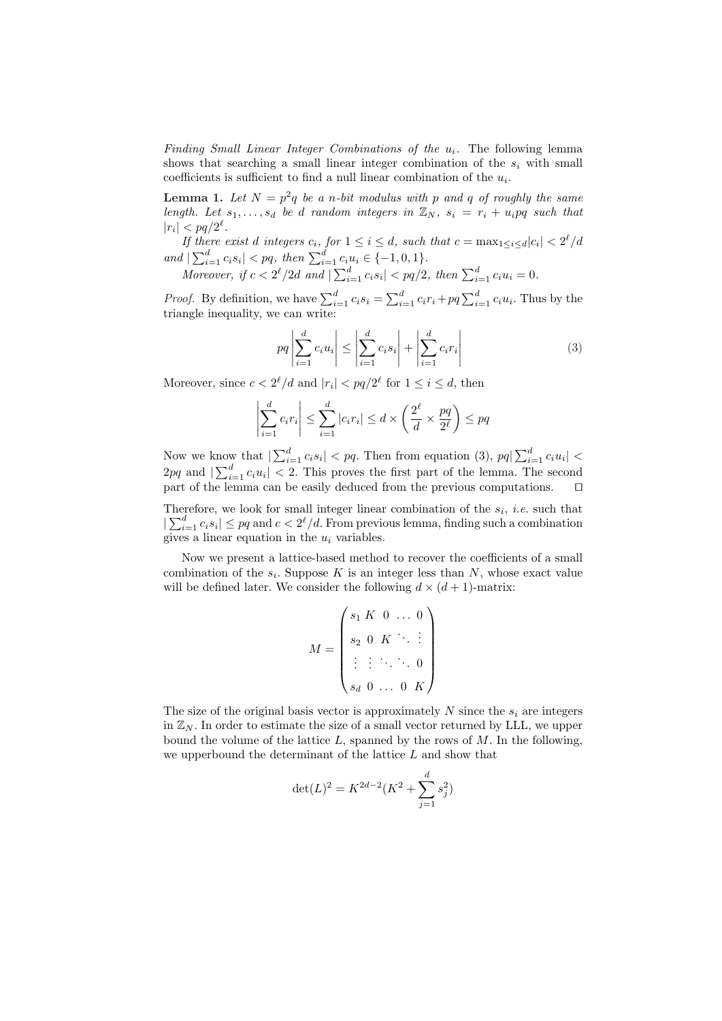Finding Small Linear Integer Combinations of the  $u_i$ . The following lemma shows that searching a small linear integer combination of the  $s_i$  with small coefficients is sufficient to find a null linear combination of the  $u_i$ .

**Lemma 1.** Let  $N = p^2q$  be a n-bit modulus with p and q of roughly the same length. Let  $s_1, \ldots, s_d$  be d random integers in  $\mathbb{Z}_N$ ,  $s_i = r_i + u_i$  pq such that  $|r_i| < pq/2^{\ell}$ .

If there exist d integers  $c_i$ , for  $1 \leq i \leq d$ , such that  $c = \max_{1 \leq i \leq d} |c_i| < 2^{\ell}/d$ and  $|\sum_{i=1}^{d} c_i s_i| < pq$ , then  $\sum_{i=1}^{d} c_i u_i \in \{-1, 0, 1\}$ .<br>Moreover, if  $c < 2^{\ell}/2d$  and  $|\sum_{i=1}^{d} c_i s_i| < pq/2$ , then  $\sum_{i=1}^{d} c_i$ 

Moreover, if 
$$
c < 2^{\ell}/2d
$$
 and  $|\sum_{i=1}^{d} c_i s_i| < pq/2$ , then  $\sum_{i=1}^{d} c_i u_i = 0$ .

*Proof.* By definition, we have  $\sum_{i=1}^{d} c_i s_i = \sum_{i=1}^{d} c_i r_i + pq \sum_{i=1}^{d} c_i u_i$ . Thus by the triangle inequality, we can write:

$$
pq\left|\sum_{i=1}^{d}c_{i}u_{i}\right| \leq \left|\sum_{i=1}^{d}c_{i}s_{i}\right| + \left|\sum_{i=1}^{d}c_{i}r_{i}\right| \tag{3}
$$

Moreover, since  $c < 2^{\ell}/d$  and  $|r_i| < pq/2^{\ell}$  for  $1 \le i \le d$ , then

$$
\left| \sum_{i=1}^{d} c_i r_i \right| \leq \sum_{i=1}^{d} |c_i r_i| \leq d \times \left( \frac{2^{\ell}}{d} \times \frac{pq}{2^{\ell}} \right) \leq pq
$$

Now we know that  $|\sum_{i=1}^d c_i s_i| < pq$ . Then from equation (3),  $pq|\sum_{i=1}^d c_i u_i|$  $2pq$  and  $|\sum_{i=1}^d c_i u_i| < 2$ . This proves the first part of the lemma. The second part of the lemma can be easily deduced from the previous computations.  $\square$ 

Therefore, we look for small integer linear combination of the  $s_i$ , *i.e.* such that Therefore, we look for small integer linear combination of the  $s_i$ , *i.e.* such that  $\sum_{i=1}^d c_i s_i \le pq$  and  $c < 2^{\ell}/d$ . From previous lemma, finding such a combination gives a linear equation in the  $u_i$  variables.

Now we present a lattice-based method to recover the coefficients of a small combination of the  $s_i$ . Suppose K is an integer less than N, whose exact value will be defined later. We consider the following  $d \times (d+1)$ -matrix:

$$
M = \begin{pmatrix} s_1 K & 0 & \dots & 0 \\ s_2 & 0 & K & \ddots & \vdots \\ \vdots & \vdots & \ddots & \ddots & 0 \\ s_d & 0 & \dots & 0 & K \end{pmatrix}
$$

The size of the original basis vector is approximately  $N$  since the  $s_i$  are integers in  $\mathbb{Z}_N$ . In order to estimate the size of a small vector returned by LLL, we upper bound the volume of the lattice  $L$ , spanned by the rows of  $M$ . In the following, we upperbound the determinant of the lattice  $L$  and show that

$$
\det(L)^2 = K^{2d-2}(K^2 + \sum_{j=1}^d s_j^2)
$$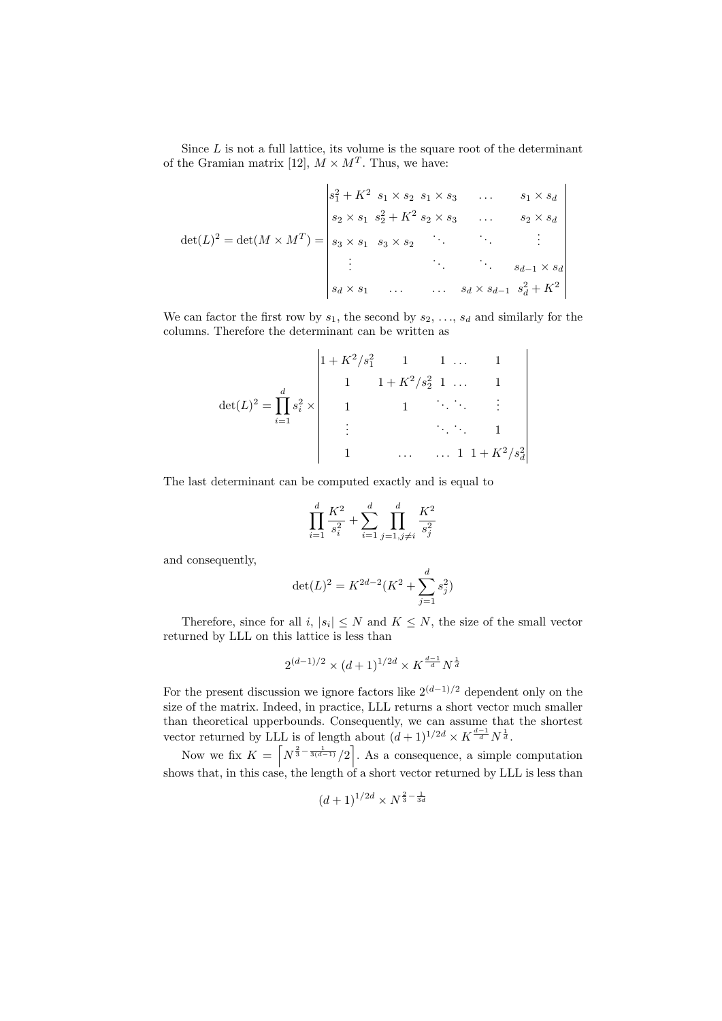Since  $L$  is not a full lattice, its volume is the square root of the determinant of the Gramian matrix [12],  $M \times M^T$ . Thus, we have:

$$
\det(L)^{2} = \det(M \times M^{T}) = \begin{vmatrix} s_{1}^{2} + K^{2} & s_{1} \times s_{2} & s_{1} \times s_{3} & \dots & s_{1} \times s_{d} \\ s_{2} \times s_{1} & s_{2}^{2} + K^{2} & s_{2} \times s_{3} & \dots & s_{2} \times s_{d} \\ s_{3} \times s_{1} & s_{3} \times s_{2} & \dots & \vdots \\ \vdots & \vdots & \ddots & \vdots & \vdots \\ s_{d} \times s_{1} & \dots & \dots & s_{d} \times s_{d-1} & s_{d}^{2} + K^{2} \end{vmatrix}
$$

We can factor the first row by  $s_1$ , the second by  $s_2, \ldots, s_d$  and similarly for the columns. Therefore the determinant can be written as

$$
\det(L)^2 = \prod_{i=1}^d s_i^2 \times \begin{vmatrix} 1 + K^2/s_1^2 & 1 & 1 & \dots & 1 \\ 1 & 1 + K^2/s_2^2 & 1 & \dots & 1 \\ 1 & 1 & \ddots & \ddots & \vdots \\ \vdots & \vdots & \ddots & \ddots & 1 \\ 1 & \dots & \dots & 1 & 1 + K^2/s_d^2 \end{vmatrix}
$$

The last determinant can be computed exactly and is equal to

$$
\prod_{i=1}^{d} \frac{K^2}{s_i^2} + \sum_{i=1}^{d} \prod_{j=1, j \neq i}^{d} \frac{K^2}{s_j^2}
$$

and consequently,

$$
\det(L)^2 = K^{2d-2}(K^2 + \sum_{j=1}^d s_j^2)
$$

Therefore, since for all  $i, |s_i| \leq N$  and  $K \leq N$ , the size of the small vector returned by LLL on this lattice is less than

$$
2^{(d-1)/2} \times (d+1)^{1/2d} \times K^{\frac{d-1}{d}} N^{\frac{1}{d}}
$$

For the present discussion we ignore factors like  $2^{(d-1)/2}$  dependent only on the size of the matrix. Indeed, in practice, LLL returns a short vector much smaller than theoretical upperbounds. Consequently, we can assume that the shortest vector returned by LLL is of length about  $(d+1)^{1/2d} \times K^{\frac{d-1}{d}}N^{\frac{1}{d}}$ . ار<br>م l i<br>H

Now we fix  $K =$  $N^{\frac{2}{3}-\frac{1}{3(d-1)}}/2$ . As a consequence, a simple computation shows that, in this case, the length of a short vector returned by LLL is less than

$$
(d+1)^{1/2d} \times N^{\frac{2}{3} - \frac{1}{3d}}
$$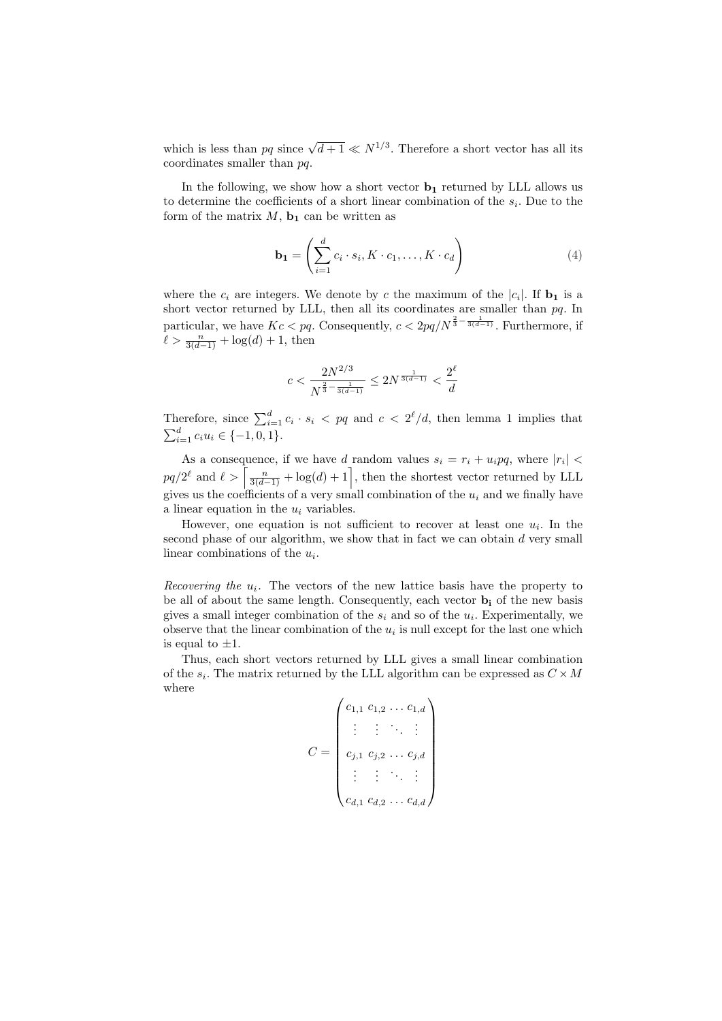which is less than pq since  $\sqrt{d+1} \ll N^{1/3}$ . Therefore a short vector has all its coordinates smaller than pq.

In the following, we show how a short vector  $\mathbf{b}_1$  returned by LLL allows us to determine the coefficients of a short linear combination of the  $s_i$ . Due to the form of the matrix  $M$ ,  $\mathbf{b}_1$  can be written as

$$
\mathbf{b_1} = \left(\sum_{i=1}^d c_i \cdot s_i, K \cdot c_1, \dots, K \cdot c_d\right) \tag{4}
$$

where the  $c_i$  are integers. We denote by c the maximum of the  $|c_i|$ . If  $\mathbf{b_1}$  is a short vector returned by LLL, then all its coordinates are smaller than pq. In particular, we have  $Kc < pq$ . Consequently,  $c < 2pq/N^{\frac{2}{3}-\frac{1}{3(d-1)}}$ . Furthermore, if  $\ell > \frac{n}{3(d-1)} + \log(d) + 1$ , then

$$
c < \frac{2N^{2/3}}{N^{\frac{2}{3}-\frac{1}{3(d-1)}}} \le 2N^{\frac{1}{3(d-1)}} < \frac{2^{\ell}}{d}
$$

Therefore, since  $\sum_{i=1}^d c_i \cdot s_i$   $\langle$  *pq* and  $c \langle 2^{\ell}/d$ , then lemma 1 implies that  $\sum_{i=1}^{d} c_i u_i \in \{-1, 0, 1\}.$ 

As a consequence, if we have d random values  $s_i = r_i + u_i pq$ , where  $|r_i|$  < As a consequence, if we have a random values  $s_i = r_i + u_i pq$ , where  $|r_i| < pq/2^{\ell}$  and  $\ell > \left[\frac{n}{3(d-1)} + \log(d) + 1\right]$ , then the shortest vector returned by LLL gives us the coefficients of a very small combination of the  $u_i$  and we finally have a linear equation in the  $u_i$  variables.

However, one equation is not sufficient to recover at least one  $u_i$ . In the second phase of our algorithm, we show that in fact we can obtain  $d$  very small linear combinations of the  $u_i$ .

Recovering the  $u_i$ . The vectors of the new lattice basis have the property to be all of about the same length. Consequently, each vector  $\mathbf{b}_i$  of the new basis gives a small integer combination of the  $s_i$  and so of the  $u_i$ . Experimentally, we observe that the linear combination of the  $u_i$  is null except for the last one which is equal to  $\pm 1$ .

Thus, each short vectors returned by LLL gives a small linear combination of the  $s_i$ . The matrix returned by the LLL algorithm can be expressed as  $C \times M$ where  $\overline{\phantom{a}}$  $\mathbf{r}$ 

$$
C = \begin{pmatrix} c_{1,1} & c_{1,2} & \dots & c_{1,d} \\ \vdots & \vdots & \ddots & \vdots \\ c_{j,1} & c_{j,2} & \dots & c_{j,d} \\ \vdots & \vdots & \ddots & \vdots \\ c_{d,1} & c_{d,2} & \dots & c_{d,d} \end{pmatrix}
$$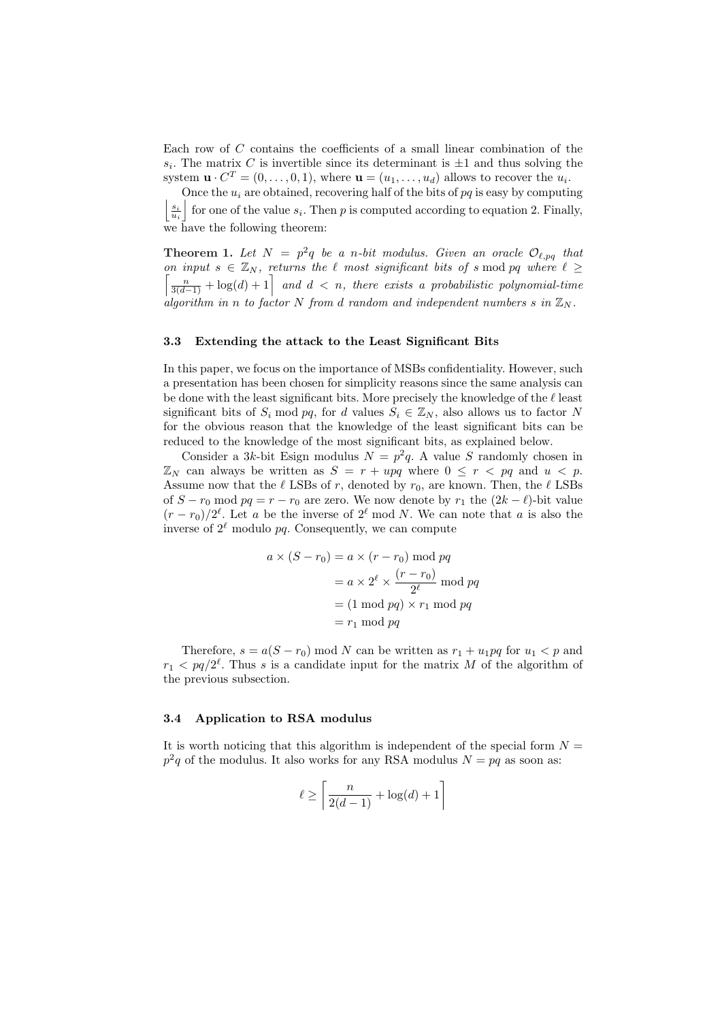Each row of C contains the coefficients of a small linear combination of the  $s_i$ . The matrix C is invertible since its determinant is  $\pm 1$  and thus solving the system  $\mathbf{u} \cdot C^T = (0, \ldots, 0, 1)$ , where  $\mathbf{u} = (u_1, \ldots, u_d)$  allows to recover the  $u_i$ .

Once the  $u_i$  are obtained, recovering half of the bits of  $pq$  is easy by computing Once the  $u_i$  are obtained, recovering nail of the bits of  $pq$  is easy by computing  $\left| \frac{s_i}{u_i} \right|$  for one of the value  $s_i$ . Then p is computed according to equation 2. Finally, we have the following theorem:

**Theorem 1.** Let  $N = p^2q$  be a n-bit modulus. Given an oracle  $\mathcal{O}_{\ell, pq}$  that on input  $s \in \mathbb{Z}_N$ , returns the  $\ell$  most significant bits of s mod pq where  $\ell \geq$ n input  $s \in \mathbb{Z}_N$ , returns the  $\ell$  most significant bits of  $s$  mod pq where  $\ell \geq \frac{n}{3(d-1)} + \log(d) + 1$  and  $d < n$ , there exists a probabilistic polynomial-time algorithm in n to factor N from d random and independent numbers s in  $\mathbb{Z}_N$ .

#### 3.3 Extending the attack to the Least Significant Bits

In this paper, we focus on the importance of MSBs confidentiality. However, such a presentation has been chosen for simplicity reasons since the same analysis can be done with the least significant bits. More precisely the knowledge of the  $\ell$  least significant bits of  $S_i \text{ mod } pq$ , for d values  $S_i \in \mathbb{Z}_N$ , also allows us to factor N for the obvious reason that the knowledge of the least significant bits can be reduced to the knowledge of the most significant bits, as explained below.

Consider a 3k-bit Esign modulus  $N = p^2q$ . A value S randomly chosen in  $\mathbb{Z}_N$  can always be written as  $S = r + upq$  where  $0 \leq r < pq$  and  $u < p$ . Assume now that the  $\ell$  LSBs of r, denoted by  $r_0$ , are known. Then, the  $\ell$  LSBs of  $S - r_0$  mod  $pq = r - r_0$  are zero. We now denote by  $r_1$  the  $(2k - \ell)$ -bit value  $(r - r_0)/2^{\ell}$ . Let a be the inverse of  $2^{\ell}$  mod N. We can note that a is also the inverse of  $2^{\ell}$  modulo pq. Consequently, we can compute

$$
a \times (S - r_0) = a \times (r - r_0) \mod pq
$$

$$
= a \times 2^{\ell} \times \frac{(r - r_0)}{2^{\ell}} \mod pq
$$

$$
= (1 \mod pq) \times r_1 \mod pq
$$

$$
= r_1 \mod pq
$$

Therefore,  $s = a(S - r_0) \mod N$  can be written as  $r_1 + u_1pq$  for  $u_1 < p$  and  $r_1 < pq/2^{\ell}$ . Thus s is a candidate input for the matrix M of the algorithm of the previous subsection.

#### 3.4 Application to RSA modulus

It is worth noticing that this algorithm is independent of the special form  $N =$  $p^2q$  of the modulus. It also works for any RSA modulus  $N = pq$  as soon as:

$$
\ell \ge \left\lceil \frac{n}{2(d-1)} + \log(d) + 1 \right\rceil
$$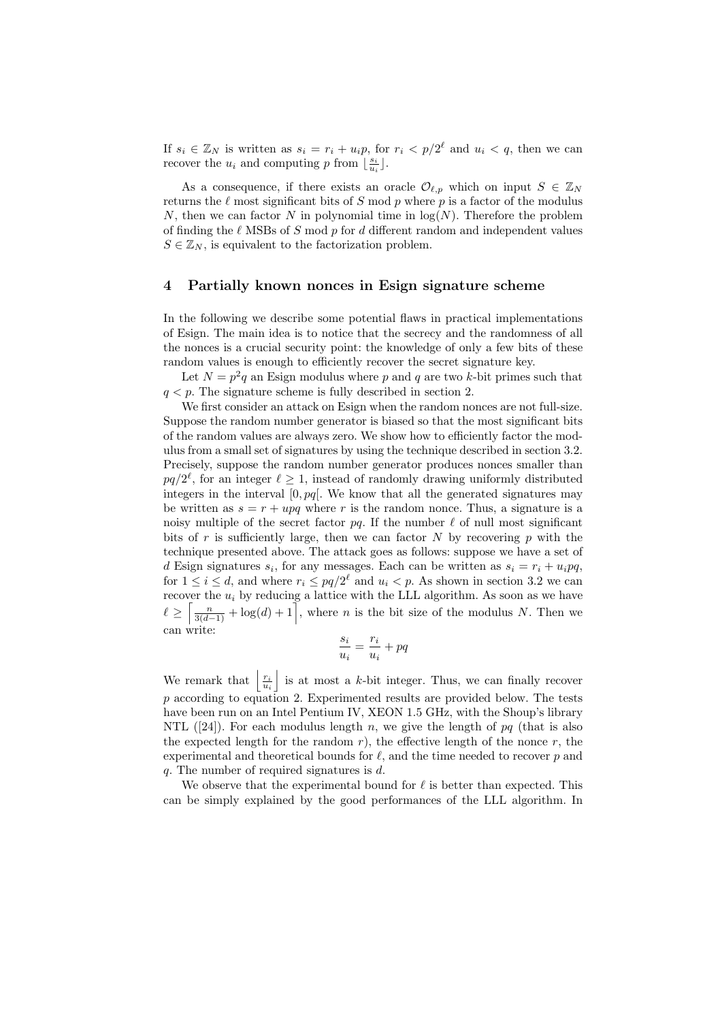If  $s_i \in \mathbb{Z}_N$  is written as  $s_i = r_i + u_i p$ , for  $r_i < p/2^{\ell}$  and  $u_i < q$ , then we can recover the  $u_i$  and computing p from  $\lfloor \frac{s_i}{u_i} \rfloor$ .

As a consequence, if there exists an oracle  $\mathcal{O}_{\ell,p}$  which on input  $S \in \mathbb{Z}_N$ returns the  $\ell$  most significant bits of S mod p where p is a factor of the modulus N, then we can factor N in polynomial time in  $log(N)$ . Therefore the problem of finding the  $\ell$  MSBs of S mod p for d different random and independent values  $S \in \mathbb{Z}_N$ , is equivalent to the factorization problem.

## 4 Partially known nonces in Esign signature scheme

In the following we describe some potential flaws in practical implementations of Esign. The main idea is to notice that the secrecy and the randomness of all the nonces is a crucial security point: the knowledge of only a few bits of these random values is enough to efficiently recover the secret signature key.

Let  $N = p^2 q$  an Esign modulus where p and q are two k-bit primes such that  $q < p$ . The signature scheme is fully described in section 2.

We first consider an attack on Esign when the random nonces are not full-size. Suppose the random number generator is biased so that the most significant bits of the random values are always zero. We show how to efficiently factor the modulus from a small set of signatures by using the technique described in section 3.2. Precisely, suppose the random number generator produces nonces smaller than  $pq/2^{\ell}$ , for an integer  $\ell \geq 1$ , instead of randomly drawing uniformly distributed integers in the interval  $[0, pq]$ . We know that all the generated signatures may be written as  $s = r + upq$  where r is the random nonce. Thus, a signature is a noisy multiple of the secret factor  $pq$ . If the number  $\ell$  of null most significant bits of r is sufficiently large, then we can factor  $N$  by recovering p with the technique presented above. The attack goes as follows: suppose we have a set of d Esign signatures  $s_i$ , for any messages. Each can be written as  $s_i = r_i + u_i p q$ , for  $1 \leq i \leq d$ , and where  $r_i \leq pq/2^{\ell}$  and  $u_i < p$ . As shown in section 3.2 we can recover the  $u_i$  by reducing a lattice with the LLL algorithm. As soon as we have recover the  $u_i$  by reducing a lattice with the LLL algorithm. As soon as we have  $\ell \ge \left\lceil \frac{n}{3(d-1)} + \log(d) + 1 \right\rceil$ , where n is the bit size of the modulus N. Then we can write:

$$
\frac{s_i}{u_i} = \frac{r_i}{u_i} + pq
$$

k

We remark that  $\left| \frac{r_i}{u_i} \right|$ is at most a  $k$ -bit integer. Thus, we can finally recover  $p$  according to equation 2. Experimented results are provided below. The tests have been run on an Intel Pentium IV, XEON 1.5 GHz, with the Shoup's library NTL  $(24)$ . For each modulus length n, we give the length of pq (that is also the expected length for the random  $r$ ), the effective length of the nonce  $r$ , the experimental and theoretical bounds for  $\ell$ , and the time needed to recover p and q. The number of required signatures is d.

We observe that the experimental bound for  $\ell$  is better than expected. This can be simply explained by the good performances of the LLL algorithm. In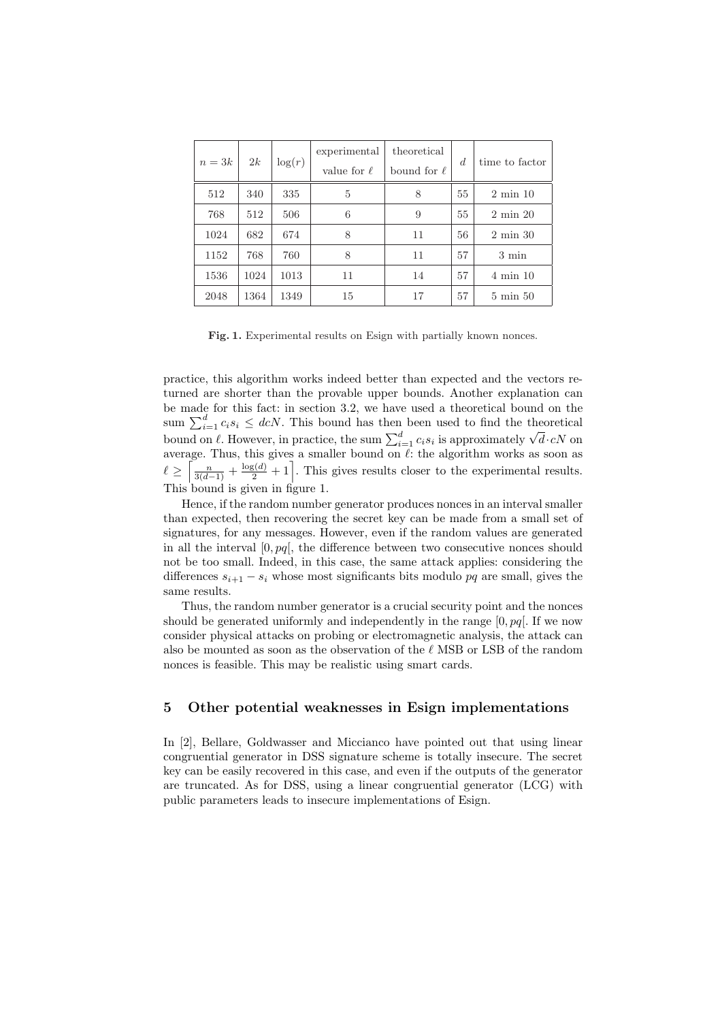| $n=3k$ | 2k   | $\log(r)$ | experimental<br>value for $\ell$ | theoretical<br>bound for $\ell$ | $\overline{d}$ | time to factor      |
|--------|------|-----------|----------------------------------|---------------------------------|----------------|---------------------|
|        |      |           |                                  |                                 |                |                     |
| 512    | 340  | 335       | 5                                | 8                               | 55             | $2 \text{ min } 10$ |
| 768    | 512  | 506       | 6                                | 9                               | 55             | $2 \text{ min } 20$ |
| 1024   | 682  | 674       | 8                                | 11                              | 56             | $2 \text{ min } 30$ |
| 1152   | 768  | 760       | 8                                | 11                              | 57             | $3 \text{ min}$     |
| 1536   | 1024 | 1013      | 11                               | 14                              | 57             | $4 \text{ min } 10$ |
| 2048   | 1364 | 1349      | 15                               | 17                              | 57             | $5 \text{ min } 50$ |

Fig. 1. Experimental results on Esign with partially known nonces.

practice, this algorithm works indeed better than expected and the vectors returned are shorter than the provable upper bounds. Another explanation can be made for this fact: in section 3.2, we have used a theoretical bound on the be made for this fact: in section 3.2, we have used a theoretical bound on the sum  $\sum_{i=1}^{d} c_i s_i \leq d cN$ . This bound has then been used to find the theoretical bound on  $\ell$ . However, in practice, the sum  $\sum_{i=1}^{d} c_i s_i$  is approximately  $\sqrt{d} \cdot cN$  on average. Thus, this gives a smaller bound on  $\ell$ : the algorithm works as soon as  $\ell \geq$ age. Thus, this<br> $\frac{n}{3(d-1)} + \frac{\log(d)}{2}$ one gives a smaller bound on  $\ell$ : the algorithm works as soon as  $\frac{z(d)}{2} + 1$ . This gives results closer to the experimental results. This bound is given in figure 1.

Hence, if the random number generator produces nonces in an interval smaller than expected, then recovering the secret key can be made from a small set of signatures, for any messages. However, even if the random values are generated in all the interval  $[0, pq]$ , the difference between two consecutive nonces should not be too small. Indeed, in this case, the same attack applies: considering the differences  $s_{i+1} - s_i$  whose most significants bits modulo pq are small, gives the same results.

Thus, the random number generator is a crucial security point and the nonces should be generated uniformly and independently in the range  $[0, pq]$ . If we now consider physical attacks on probing or electromagnetic analysis, the attack can also be mounted as soon as the observation of the  $\ell$  MSB or LSB of the random nonces is feasible. This may be realistic using smart cards.

# 5 Other potential weaknesses in Esign implementations

In [2], Bellare, Goldwasser and Miccianco have pointed out that using linear congruential generator in DSS signature scheme is totally insecure. The secret key can be easily recovered in this case, and even if the outputs of the generator are truncated. As for DSS, using a linear congruential generator (LCG) with public parameters leads to insecure implementations of Esign.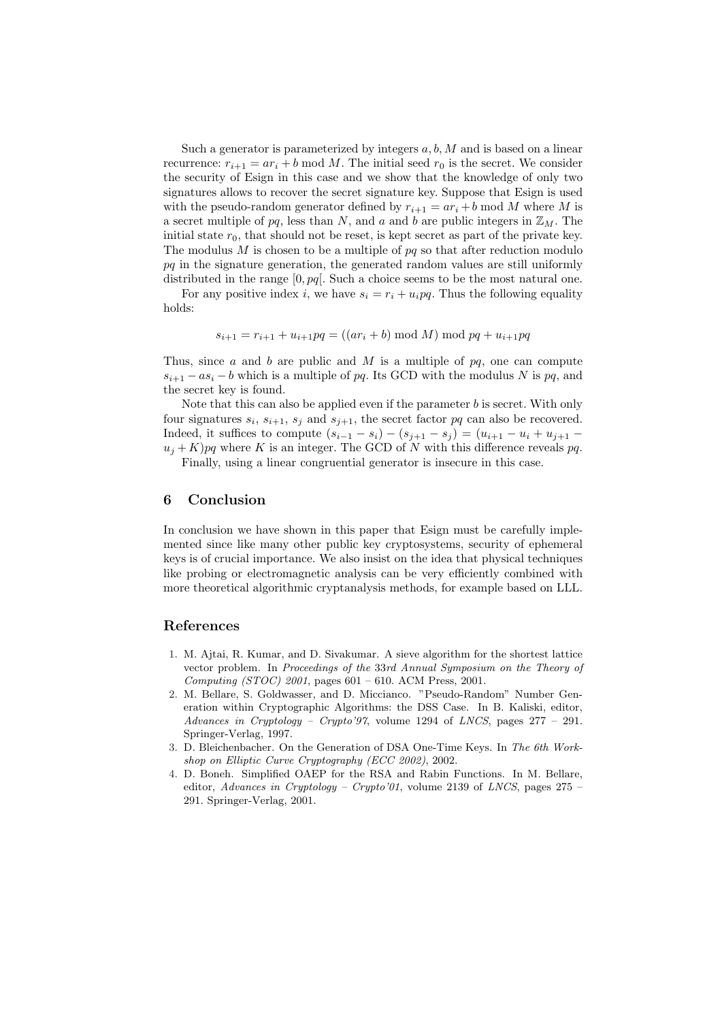Such a generator is parameterized by integers  $a, b, M$  and is based on a linear recurrence:  $r_{i+1} = ar_i + b \mod M$ . The initial seed  $r_0$  is the secret. We consider the security of Esign in this case and we show that the knowledge of only two signatures allows to recover the secret signature key. Suppose that Esign is used with the pseudo-random generator defined by  $r_{i+1} = ar_i + b \mod M$  where M is a secret multiple of pq, less than N, and a and b are public integers in  $\mathbb{Z}_M$ . The initial state  $r_0$ , that should not be reset, is kept secret as part of the private key. The modulus M is chosen to be a multiple of  $pq$  so that after reduction modulo  $pq$  in the signature generation, the generated random values are still uniformly distributed in the range  $[0, pq]$ . Such a choice seems to be the most natural one.

For any positive index i, we have  $s_i = r_i + u_i pq$ . Thus the following equality holds:

$$
s_{i+1} = r_{i+1} + u_{i+1}pq = ((ar_i + b) \bmod M) \bmod pq + u_{i+1}pq
$$

Thus, since a and b are public and M is a multiple of  $pq$ , one can compute  $s_{i+1} - as_i - b$  which is a multiple of pq. Its GCD with the modulus N is pq, and the secret key is found.

Note that this can also be applied even if the parameter  $b$  is secret. With only four signatures  $s_i$ ,  $s_{i+1}$ ,  $s_j$  and  $s_{j+1}$ , the secret factor  $pq$  can also be recovered. Indeed, it suffices to compute  $(s_{i-1} - s_i) - (s_{j+1} - s_j) = (u_{i+1} - u_i + u_{j+1}$  $u_i + K$ )pq where K is an integer. The GCD of N with this difference reveals pq.

Finally, using a linear congruential generator is insecure in this case.

### 6 Conclusion

In conclusion we have shown in this paper that Esign must be carefully implemented since like many other public key cryptosystems, security of ephemeral keys is of crucial importance. We also insist on the idea that physical techniques like probing or electromagnetic analysis can be very efficiently combined with more theoretical algorithmic cryptanalysis methods, for example based on LLL.

#### References

- 1. M. Ajtai, R. Kumar, and D. Sivakumar. A sieve algorithm for the shortest lattice vector problem. In Proceedings of the 33rd Annual Symposium on the Theory of Computing (STOC) 2001, pages  $601 - 610$ . ACM Press, 2001.
- 2. M. Bellare, S. Goldwasser, and D. Miccianco. "Pseudo-Random" Number Generation within Cryptographic Algorithms: the DSS Case. In B. Kaliski, editor, Advances in Cryptology – Crypto'97, volume 1294 of LNCS, pages  $277 - 291$ . Springer-Verlag, 1997.
- 3. D. Bleichenbacher. On the Generation of DSA One-Time Keys. In The 6th Workshop on Elliptic Curve Cryptography (ECC 2002), 2002.
- 4. D. Boneh. Simplified OAEP for the RSA and Rabin Functions. In M. Bellare, editor, Advances in Cryptology – Crypto'01, volume 2139 of LNCS, pages 275 – 291. Springer-Verlag, 2001.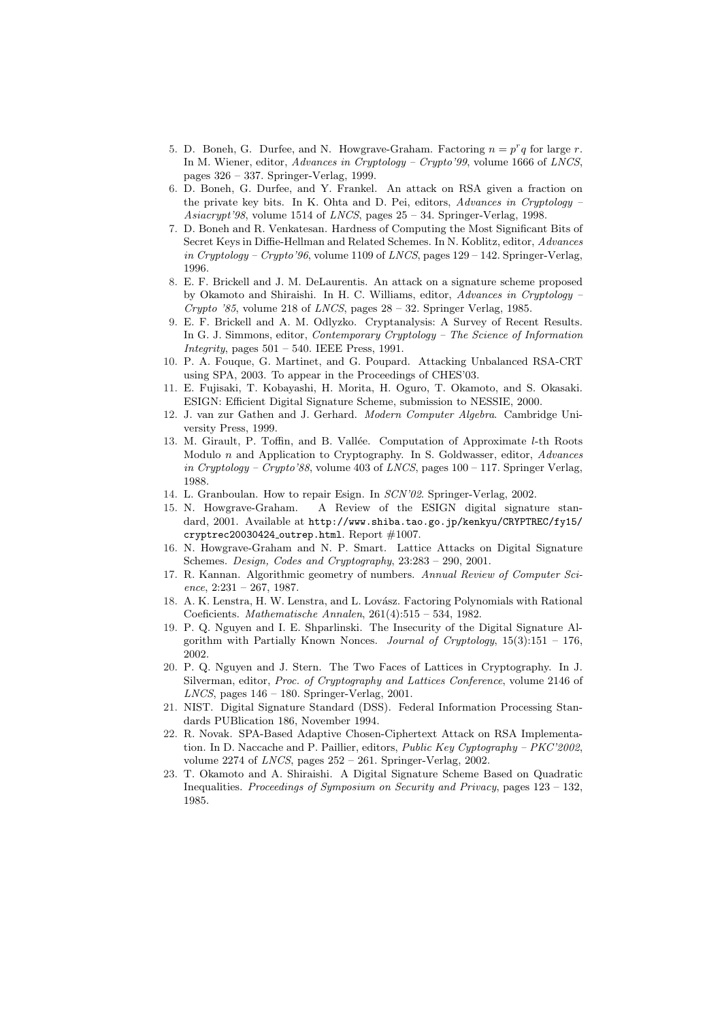- 5. D. Boneh, G. Durfee, and N. Howgrave-Graham. Factoring  $n = p^r q$  for large r. In M. Wiener, editor, Advances in Cryptology – Crypto'99, volume 1666 of LNCS, pages 326 – 337. Springer-Verlag, 1999.
- 6. D. Boneh, G. Durfee, and Y. Frankel. An attack on RSA given a fraction on the private key bits. In K. Ohta and D. Pei, editors, Advances in Cryptology –  $Asiacrypt'98$ , volume 1514 of *LNCS*, pages  $25 - 34$ . Springer-Verlag, 1998.
- 7. D. Boneh and R. Venkatesan. Hardness of Computing the Most Significant Bits of Secret Keys in Diffie-Hellman and Related Schemes. In N. Koblitz, editor, Advances in Cryptology – Crypto'96, volume 1109 of LNCS, pages  $129 - 142$ . Springer-Verlag, 1996.
- 8. E. F. Brickell and J. M. DeLaurentis. An attack on a signature scheme proposed by Okamoto and Shiraishi. In H. C. Williams, editor, Advances in Cryptology – Crypto '85, volume 218 of LNCS, pages  $28 - 32$ . Springer Verlag, 1985.
- 9. E. F. Brickell and A. M. Odlyzko. Cryptanalysis: A Survey of Recent Results. In G. J. Simmons, editor, Contemporary Cryptology – The Science of Information Integrity, pages  $501 - 540$ . IEEE Press, 1991.
- 10. P. A. Fouque, G. Martinet, and G. Poupard. Attacking Unbalanced RSA-CRT using SPA, 2003. To appear in the Proceedings of CHES'03.
- 11. E. Fujisaki, T. Kobayashi, H. Morita, H. Oguro, T. Okamoto, and S. Okasaki. ESIGN: Efficient Digital Signature Scheme, submission to NESSIE, 2000.
- 12. J. van zur Gathen and J. Gerhard. Modern Computer Algebra. Cambridge University Press, 1999.
- 13. M. Girault, P. Toffin, and B. Vallée. Computation of Approximate *l*-th Roots Modulo  $n$  and Application to Cryptography. In S. Goldwasser, editor,  $Advances$ in Cryptology – Crypto'88, volume 403 of LNCS, pages  $100 - 117$ . Springer Verlag, 1988.
- 14. L. Granboulan. How to repair Esign. In SCN'02. Springer-Verlag, 2002.
- 15. N. Howgrave-Graham. A Review of the ESIGN digital signature standard, 2001. Available at http://www.shiba.tao.go.jp/kenkyu/CRYPTREC/fy15/ cryptrec20030424 outrep.html. Report #1007.
- 16. N. Howgrave-Graham and N. P. Smart. Lattice Attacks on Digital Signature Schemes. Design, Codes and Cryptography, 23:283 – 290, 2001.
- 17. R. Kannan. Algorithmic geometry of numbers. Annual Review of Computer Science, 2:231 – 267, 1987.
- 18. A. K. Lenstra, H. W. Lenstra, and L. Lovász. Factoring Polynomials with Rational Coeficients. Mathematische Annalen, 261(4):515 – 534, 1982.
- 19. P. Q. Nguyen and I. E. Shparlinski. The Insecurity of the Digital Signature Algorithm with Partially Known Nonces. Journal of Cryptology,  $15(3):151 - 176$ , 2002.
- 20. P. Q. Nguyen and J. Stern. The Two Faces of Lattices in Cryptography. In J. Silverman, editor, Proc. of Cryptography and Lattices Conference, volume 2146 of  $LNCS$ , pages  $146 - 180$ . Springer-Verlag, 2001.
- 21. NIST. Digital Signature Standard (DSS). Federal Information Processing Standards PUBlication 186, November 1994.
- 22. R. Novak. SPA-Based Adaptive Chosen-Ciphertext Attack on RSA Implementation. In D. Naccache and P. Paillier, editors, Public Key Cyptography – PKC'2002, volume 2274 of  $LNCS$ , pages  $252 - 261$ . Springer-Verlag, 2002.
- 23. T. Okamoto and A. Shiraishi. A Digital Signature Scheme Based on Quadratic Inequalities. Proceedings of Symposium on Security and Privacy, pages  $123 - 132$ , 1985.